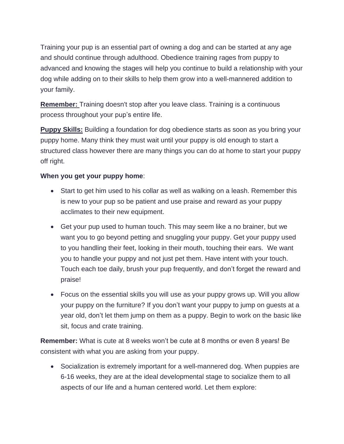Training your pup is an essential part of owning a dog and can be started at any age and should continue through adulthood. Obedience training rages from puppy to advanced and knowing the stages will help you continue to build a relationship with your dog while adding on to their skills to help them grow into a well-mannered addition to your family.

**Remember:** Training doesn't stop after you leave class. Training is a continuous process throughout your pup's entire life.

**Puppy Skills:** Building a foundation for dog obedience starts as soon as you bring your puppy home. Many think they must wait until your puppy is old enough to start a structured class however there are many things you can do at home to start your puppy off right.

## **When you get your puppy home**:

- Start to get him used to his collar as well as walking on a leash. Remember this is new to your pup so be patient and use praise and reward as your puppy acclimates to their new equipment.
- Get your pup used to human touch. This may seem like a no brainer, but we want you to go beyond petting and snuggling your puppy. Get your puppy used to you handling their feet, looking in their mouth, touching their ears. We want you to handle your puppy and not just pet them. Have intent with your touch. Touch each toe daily, brush your pup frequently, and don't forget the reward and praise!
- Focus on the essential skills you will use as your puppy grows up. Will you allow your puppy on the furniture? If you don't want your puppy to jump on guests at a year old, don't let them jump on them as a puppy. Begin to work on the basic like sit, focus and crate training.

**Remember:** What is cute at 8 weeks won't be cute at 8 months or even 8 years! Be consistent with what you are asking from your puppy.

• Socialization is extremely important for a well-mannered dog. When puppies are 6-16 weeks, they are at the ideal developmental stage to socialize them to all aspects of our life and a human centered world. Let them explore: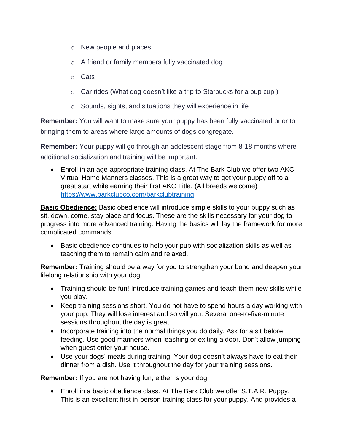- o New people and places
- o A friend or family members fully vaccinated dog
- o Cats
- o Car rides (What dog doesn't like a trip to Starbucks for a pup cup!)
- $\circ$  Sounds, sights, and situations they will experience in life

**Remember:** You will want to make sure your puppy has been fully vaccinated prior to bringing them to areas where large amounts of dogs congregate.

**Remember:** Your puppy will go through an adolescent stage from 8-18 months where additional socialization and training will be important.

• Enroll in an age-appropriate training class. At The Bark Club we offer two AKC Virtual Home Manners classes. This is a great way to get your puppy off to a great start while earning their first AKC Title. (All breeds welcome) <https://www.barkclubco.com/barkclubtraining>

**Basic Obedience:** Basic obedience will introduce simple skills to your puppy such as sit, down, come, stay place and focus. These are the skills necessary for your dog to progress into more advanced training. Having the basics will lay the framework for more complicated commands.

• Basic obedience continues to help your pup with socialization skills as well as teaching them to remain calm and relaxed.

**Remember:** Training should be a way for you to strengthen your bond and deepen your lifelong relationship with your dog.

- Training should be fun! Introduce training games and teach them new skills while you play.
- Keep training sessions short. You do not have to spend hours a day working with your pup. They will lose interest and so will you. Several one-to-five-minute sessions throughout the day is great.
- Incorporate training into the normal things you do daily. Ask for a sit before feeding. Use good manners when leashing or exiting a door. Don't allow jumping when guest enter your house.
- Use your dogs' meals during training. Your dog doesn't always have to eat their dinner from a dish. Use it throughout the day for your training sessions.

**Remember:** If you are not having fun, either is your dog!

• Enroll in a basic obedience class. At The Bark Club we offer S.T.A.R. Puppy. This is an excellent first in-person training class for your puppy. And provides a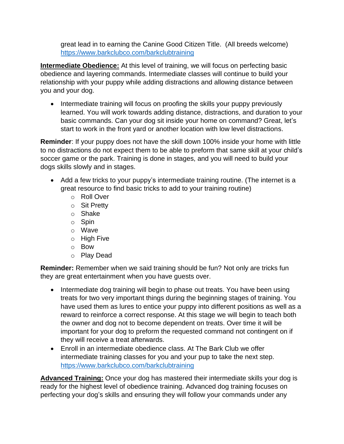great lead in to earning the Canine Good Citizen Title. (All breeds welcome) <https://www.barkclubco.com/barkclubtraining>

**Intermediate Obedience:** At this level of training, we will focus on perfecting basic obedience and layering commands. Intermediate classes will continue to build your relationship with your puppy while adding distractions and allowing distance between you and your dog.

• Intermediate training will focus on proofing the skills your puppy previously learned. You will work towards adding distance, distractions, and duration to your basic commands. Can your dog sit inside your home on command? Great, let's start to work in the front yard or another location with low level distractions.

**Reminder**: If your puppy does not have the skill down 100% inside your home with little to no distractions do not expect them to be able to preform that same skill at your child's soccer game or the park. Training is done in stages, and you will need to build your dogs skills slowly and in stages.

- Add a few tricks to your puppy's intermediate training routine. (The internet is a great resource to find basic tricks to add to your training routine)
	- o Roll Over
	- o Sit Pretty
	- o Shake
	- o Spin
	- o Wave
	- o High Five
	- o Bow
	- o Play Dead

**Reminder:** Remember when we said training should be fun? Not only are tricks fun they are great entertainment when you have guests over.

- Intermediate dog training will begin to phase out treats. You have been using treats for two very important things during the beginning stages of training. You have used them as lures to entice your puppy into different positions as well as a reward to reinforce a correct response. At this stage we will begin to teach both the owner and dog not to become dependent on treats. Over time it will be important for your dog to preform the requested command not contingent on if they will receive a treat afterwards.
- Enroll in an intermediate obedience class. At The Bark Club we offer intermediate training classes for you and your pup to take the next step. <https://www.barkclubco.com/barkclubtraining>

**Advanced Training:** Once your dog has mastered their intermediate skills your dog is ready for the highest level of obedience training. Advanced dog training focuses on perfecting your dog's skills and ensuring they will follow your commands under any